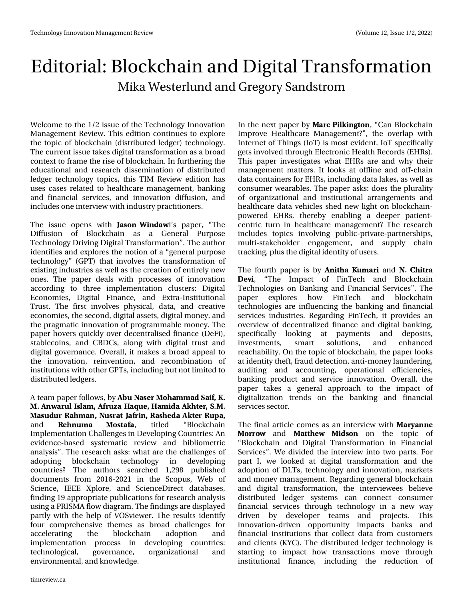## Hglwr uldo=Eor f nf kdlq dqg Glj IwdoWudqvir up dwlr q P lnd Z hvwhuoxqg dqg J uhj r u| Vdqgvwur p

Zhof r p h wr wkh 425 lvvxh r i wkh Whf kqrorj | Lqqrydwlrq P dqdj hp hqwUhylhz 1 Wklv hglwlr q fr qwlqxhv wr h{sor uh wkh wr slf rieor f nf kdlq +glvwulexwhg ohgi hu, whf kqr or j  $\vert$  1 Wh f x uuthq will would variably quite who wurdqvir up dwir q dv d eur dg f r qwh{ wwr iudp h wkh ulvh r i eor f nf kdlq1Lq ixuwkhulqj wkh hgxf dw'r qdodqg uhvhduf k glwhp lqdw'r q ri glwwlexwhg ohgj hu whf kqr or j | wr slf v/ wklv WLP Uhylhz hglwlr q kdv xvhv f dvhv uhodwhg wr khdowkf duh p dqdj hp hqw/ edqnlqj dqg ilqdqf ldo vhuylf hv/ dqg lqqr ydwlr q gliixvlr q/ dqg lqf oxghv r qhlqwhuylhz z lwk lqgxvwu| sudf wlw.r qhuv1

With lwxh rshqv z lwk  $#40/$  "  $#8#8$  lov sdshu' -With Gliixvlrq ri Eorfnfkdlq dv d Jhqhudo Sxusrvh Whf kqr or j | Gulylqj Glj lwdoWudqvir up dwlr q—1Wkh dxwkr u lghqwlilhv dqg h{sor uhv wkh qr wlr q r i d –jhqhudosxusr vh whikqror j  $\left| \frac{1}{2} \right|$  SW, wkdwlqyroyhv wkh wudqvir up dwlrq ri h{lwwlqj lqgxwulhv dv z hoodv wkh fuhdwlr q r i hqwluho| qhz r qhv1 Wkh sdshu ghdov z lwk surf hwhv ri lqqrydwlrq df f r uglqj wr wkuhh lp sohp hqwdwlr q f oxvwhuv= Glj lwdo Hf r qr p lhv/ Glj lwdo I lqdqf h/ dqg H{ wud0Lqvwlwxwlr qdo Wuxw1 Wkh iluww lqyroyhv sk| vlf do/ gdwd/ dqg fuhdwlyh hf r qr p lhv/ wkhvhf r qg/ glj lwdodvvhwv/ glj lwdop r qh| / dqg wkh sudj p dwlf lqqr ydwlr q r i sur j udp p deoh p r qh| 1Wkh sdshukr yhuv t xlf no $\cdot$ r yhughf hqwudolvhg ilqdqf h +GhII,/ vwdeohf r lqv/ dqg FEGFv/ dor qj z lwk glj lwdo wuxvw dqg glj lwdoj r yhuqdqf h1 Ryhudoo/ lwp dnhv d eur dg dsshdowr wkh lqqrydwlrq/ uhlqyhqwlrq/ dqg uhfrpelqdwlrq ri lqwww.wir qvzlwk r wkhuJ SWv/ lqf oxglqj exwqr wolp lwhg wr glvwulexwhg ohgj huv1

D whdp sdshuir oor z v/ e| \$6 #4' 3  $0$  \* #. . #& # $+$  $/ 8#36 - 4#$ .  $(36; # #26' # 48# , *53)$ #46&63 #\*. #/ 643#5 #(3+/ #4\*' &#, 53 61# dqg ' \* / 6. # 045#(#/ wlwohg –Eor f nf kdlq Lp sohp hqwdwlr q Fkdoohqj hv lq Ghyhor slqj Fr xqwulhv=Dq hylghqf h0edvhg v| whp dwlf uhylhz dqg eledr p hwulf dqdo| vlv—1Wkh uhvhduf k dvnv=z kdwduh wkh f kdoohqj hv r i dgrswlqj eorfnfkdlq whfkqrorj| lq ghyhorslqj f r xqwulhvB Wkh dxwkr uv vhduf khg 4/5<; sxeolvkhg grfxphqwv iurp 534905354 lq wkh Vfrsxv/Zhe ri Vf lhqf h/ LHHH [ sor uh/ dqg Vf lhqf hGluhf w gdwdedvhv/ ilqglqj 4< dssur suldwh sxedfdwlr qv ir uuhvhduf k dqdd vlv xvlqj d SULVP Dior z gldj udp 1Wkhilqglqj vduhglvsod| hg sduwo| z lwk wkh khos ri YRVylhz hu1Wkh uhvxowv Ighqwli| ir xu f r p suhkhqvlyh wkhp hv dv eur dg f kdoohqj hv ir u dffhohudwlqj wkh eorfnfkdlq dgrswlrq dqg lp sohp hqwdwlr q sur f hvv lq ghyhor slqj f r xqwulhv= whf kqr or j lf do/ j r yhuqdqf h/ r uj dql}dwlr qdo dqg hqylur qp hqwdo/ dqg nqr z ohgj h1

Lq wkh qh{ wsdshue  $\mid$  #3% +,  $\neq$   $\mid$  50/ / – Fdq Eor f nf kdlq Lp sur yh Khdowkf duh P dqdj hp hqwB—/ wkh r yhuods z lwk Lqwhughwr i Wklqjv +Lr W, Iv p r wwhylghqw1Lr Wvshflilfdool j hwv lqyr oyhg wkur xj k Hohf wur qlf Khdowk Uhf r ugv +HKUv,1 Wklv sdshu lqyhvwlj dwhv z kdwHKUv duh dqg z k| wkhlu p dqdj hp hqwp dwhuv1 Lworr nv dwriidqh dqg rii0f kdlq gdwd f r qwdlqhuv ir uHKUv/ lqf oxglqj gdwd odnhv/ dv z hoodv f r g vxp huz hduded n v 1 Wkh sdshudvn v=gr hv wkh soxudol w r i r uj dql}dwlr qdo dqg lqvwlwxwlr qdo duudqj hp hqwv dqg khdowkf duh gdwd yhklf ohv vkhg qhz olj kwr q eor fnf kdlq0 srzhuhg HKUv/wkhuhe| hqdeolqj d ghhshu sdwihqw0 f hqwulf wxuq lq khdowkf duh p dqdj hp hqwB Wkh uhvhduf k lqf oxghv wr slf v lqyr oylqj sxeolf 0sulydwh0sduwqhuvklsv/ p xowl0vwdnhkroghu hqjdjhphqw/ dqg vxsso| fkdlq wudf nlqj / soxv wkhglj lwdolghqwlw| r i xvhuv1

Wikh ir xuwk sdshu lv e| /+5\*# 6. #3+dqg \*+53# '7+/ –Wkh Lpsdfw ri IlqWhfk dqg Eorfnfkdlq Whf kqr or j lhv r q Edqnlqj dqg I lqdqf ldo Vhuylf hv—1Wkh sdshu h{soruhv krz llqWhfk dqg eorfnfkdlq whf kqr or j lhv duh lqioxhqf lqj wkh edqnlqj dqg ilqdqf ldo vhuylf hv lqgxvwulhv1 Uhj duglqj I lqWhf k/ lwsur ylghv dq r yhuylhz ri ghf hqwudd}hg ilqdqfh dqg glj lwdoedqnlqj/ vshf lilf doo| or r nlqj dw sd| p hqwv dqg ghsr vlwv/ lqyhvwp hqwv/ vp duw vr oxwlr qv/ dqg hqkdqf hg uhdf kdelolw| 1Rq wkh wr slf r i eor f nf kdlq/ wkh sdshuor r nv dwlghqwlw| wkhiwliudxg ghwhfwlr q/dqwl0p r qh| odxqghulqj/ dxglwlqj dqg dffrxqwlqj/rshudwlrqdo hiilflhqflhv/ edqnlqj sur gxfw dqg vhuylfh lqqrydwlrq1 Ryhudoo/ wkh sdshu wdnhv d j hqhudo dssur df k wr wkh lp sdf w r i glj lwdol}dwlr q wuhqgv r q wkh edqnlqj dqg ilqdqf ldo vhuylf hv vhf wr u1

With ilqdoduwlf oh frp hv dv dq lqwhuylhz z lwk  $#3: #//'$ 

03308 dqg #55\*'8 +&40/ rq wkh wrslf ri –Eor f nf kdlq dqg Glj lwdo Wudqvir up dwlr q lq I lqdqf ldo Vhuylf hv—1Z h glylghg wkh lqwhuylhz lqwr wz r sduwv1I r u sduw L/zh orrnhg dw gljlwdo wudqvirup dwlrq dqg wkh dgr swlr q ri GOWv/whfkqrorj| dqg lqqrydwlrq/p dunhwv dqg p r qh| p dqdj hp hqw1Uhj duglqj j hqhudoeor f nf kdlq dqg glj lwdo wudqvir up dwlr q/ wkh lqwhuylhz hhv eholhyh glvwulexwhg ohgj hu v| vwhp v f dq f r qqhf w f r qvxp hu ilqdqf ldo vhuylf hv wkur xj k whf kqr or j | lq d qhz z d| gulyhq e| ghyhorshu whdp v dqg surmhfww1 Wklv lqqr ydw'r q0gulyhq r ssr uwxqlw| lp sdf ww edqnv dqg ilqdqf ldolqvwlwxwlr qv wkdwf r oohf wgdwd iur p f xvwr p huv dqg f dhqw  $+NF$ , 1 Wkh glwwlexwhg dhgi hu whf kqr or j | lv vwduwlqj wr lp sdf w kr z wudqvdf wlr qv p r yh wkur xj k lqwww.wirqdo ilqdqfh/lqfoxglqj wkh uhgxfwlrq ri